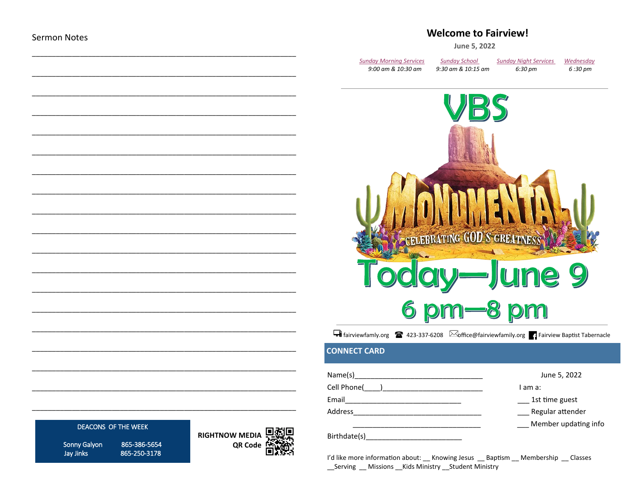### **Welcome to Fairview!**

June 5, 2022

| Sunday Morning Services | <b>Sunday School</b> | <b>Sunday Night Services</b> | Wednesday |
|-------------------------|----------------------|------------------------------|-----------|
| 9:00 am & 10:30 am      | 9:30 am & 10:15 am   | 6:30 pm                      | 6:30 pm   |



Filiniewfamly.org 23-337-6208 **Soffice@fairviewfamily.org** Fairview Baptist Tabernacle

### **CONNECT CARD**

| Name(s)      | June 5, 2022         |
|--------------|----------------------|
| Cell Phone(  | I am a:              |
| Email        | 1st time guest       |
| Address      | Regular attender     |
|              | Member updating info |
| Birthdate(s) |                      |

I'd like more information about: \_\_ Knowing Jesus \_\_ Baptism \_\_ Membership \_\_ Classes \_\_Serving \_\_ Missions \_\_Kids Ministry \_\_Student Ministry

### **DEACONS OF THE WEEK**

Sonny Galyon Jay Jinks

865-386-5654 865-250-3178